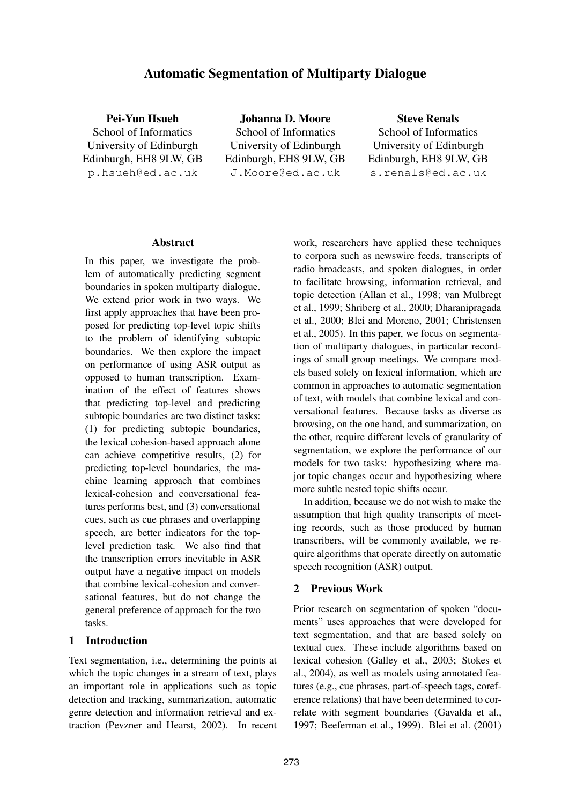# **Automatic Segmentation of Multiparty Dialogue**

**Pei-Yun Hsueh** School of Informatics University of Edinburgh Edinburgh, EH8 9LW, GB p.hsueh@ed.ac.uk

**Johanna D. Moore** School of Informatics University of Edinburgh Edinburgh, EH8 9LW, GB J.Moore@ed.ac.uk

**Steve Renals** School of Informatics University of Edinburgh Edinburgh, EH8 9LW, GB s.renals@ed.ac.uk

#### **Abstract**

In this paper, we investigate the problem of automatically predicting segment boundaries in spoken multiparty dialogue. We extend prior work in two ways. We first apply approaches that have been proposed for predicting top-level topic shifts to the problem of identifying subtopic boundaries. We then explore the impact on performance of using ASR output as opposed to human transcription. Examination of the effect of features shows that predicting top-level and predicting subtopic boundaries are two distinct tasks: (1) for predicting subtopic boundaries, the lexical cohesion-based approach alone can achieve competitive results, (2) for predicting top-level boundaries, the machine learning approach that combines lexical-cohesion and conversational features performs best, and (3) conversational cues, such as cue phrases and overlapping speech, are better indicators for the toplevel prediction task. We also find that the transcription errors inevitable in ASR output have a negative impact on models that combine lexical-cohesion and conversational features, but do not change the general preference of approach for the two tasks.

### **1 Introduction**

Text segmentation, i.e., determining the points at which the topic changes in a stream of text, plays an important role in applications such as topic detection and tracking, summarization, automatic genre detection and information retrieval and extraction (Pevzner and Hearst, 2002). In recent

work, researchers have applied these techniques to corpora such as newswire feeds, transcripts of radio broadcasts, and spoken dialogues, in order to facilitate browsing, information retrieval, and topic detection (Allan et al., 1998; van Mulbregt et al., 1999; Shriberg et al., 2000; Dharanipragada et al., 2000; Blei and Moreno, 2001; Christensen et al., 2005). In this paper, we focus on segmentation of multiparty dialogues, in particular recordings of small group meetings. We compare models based solely on lexical information, which are common in approaches to automatic segmentation of text, with models that combine lexical and conversational features. Because tasks as diverse as browsing, on the one hand, and summarization, on the other, require different levels of granularity of segmentation, we explore the performance of our models for two tasks: hypothesizing where major topic changes occur and hypothesizing where more subtle nested topic shifts occur.

In addition, because we do not wish to make the assumption that high quality transcripts of meeting records, such as those produced by human transcribers, will be commonly available, we require algorithms that operate directly on automatic speech recognition (ASR) output.

## **2 Previous Work**

Prior research on segmentation of spoken "documents" uses approaches that were developed for text segmentation, and that are based solely on textual cues. These include algorithms based on lexical cohesion (Galley et al., 2003; Stokes et al., 2004), as well as models using annotated features (e.g., cue phrases, part-of-speech tags, coreference relations) that have been determined to correlate with segment boundaries (Gavalda et al., 1997; Beeferman et al., 1999). Blei et al. (2001)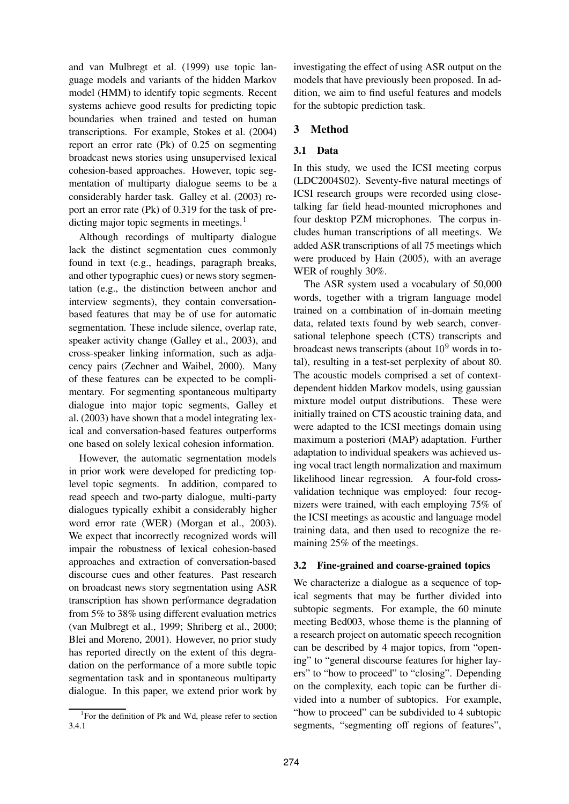and van Mulbregt et al. (1999) use topic language models and variants of the hidden Markov model (HMM) to identify topic segments. Recent systems achieve good results for predicting topic boundaries when trained and tested on human transcriptions. For example, Stokes et al. (2004) report an error rate (Pk) of 0.25 on segmenting broadcast news stories using unsupervised lexical cohesion-based approaches. However, topic segmentation of multiparty dialogue seems to be a considerably harder task. Galley et al. (2003) report an error rate (Pk) of 0.319 for the task of predicting major topic segments in meetings. $<sup>1</sup>$ </sup>

Although recordings of multiparty dialogue lack the distinct segmentation cues commonly found in text (e.g., headings, paragraph breaks, and other typographic cues) or news story segmentation (e.g., the distinction between anchor and interview segments), they contain conversationbased features that may be of use for automatic segmentation. These include silence, overlap rate, speaker activity change (Galley et al., 2003), and cross-speaker linking information, such as adjacency pairs (Zechner and Waibel, 2000). Many of these features can be expected to be complimentary. For segmenting spontaneous multiparty dialogue into major topic segments, Galley et al. (2003) have shown that a model integrating lexical and conversation-based features outperforms one based on solely lexical cohesion information.

However, the automatic segmentation models in prior work were developed for predicting toplevel topic segments. In addition, compared to read speech and two-party dialogue, multi-party dialogues typically exhibit a considerably higher word error rate (WER) (Morgan et al., 2003). We expect that incorrectly recognized words will impair the robustness of lexical cohesion-based approaches and extraction of conversation-based discourse cues and other features. Past research on broadcast news story segmentation using ASR transcription has shown performance degradation from 5% to 38% using different evaluation metrics (van Mulbregt et al., 1999; Shriberg et al., 2000; Blei and Moreno, 2001). However, no prior study has reported directly on the extent of this degradation on the performance of a more subtle topic segmentation task and in spontaneous multiparty dialogue. In this paper, we extend prior work by

investigating the effect of using ASR output on the models that have previously been proposed. In addition, we aim to find useful features and models for the subtopic prediction task.

## **3 Method**

## **3.1 Data**

In this study, we used the ICSI meeting corpus (LDC2004S02). Seventy-five natural meetings of ICSI research groups were recorded using closetalking far field head-mounted microphones and four desktop PZM microphones. The corpus includes human transcriptions of all meetings. We added ASR transcriptions of all 75 meetings which were produced by Hain (2005), with an average WER of roughly 30%.

The ASR system used a vocabulary of 50,000 words, together with a trigram language model trained on a combination of in-domain meeting data, related texts found by web search, conversational telephone speech (CTS) transcripts and broadcast news transcripts (about  $10<sup>9</sup>$  words in total), resulting in a test-set perplexity of about 80. The acoustic models comprised a set of contextdependent hidden Markov models, using gaussian mixture model output distributions. These were initially trained on CTS acoustic training data, and were adapted to the ICSI meetings domain using maximum a posteriori (MAP) adaptation. Further adaptation to individual speakers was achieved using vocal tract length normalization and maximum likelihood linear regression. A four-fold crossvalidation technique was employed: four recognizers were trained, with each employing 75% of the ICSI meetings as acoustic and language model training data, and then used to recognize the remaining 25% of the meetings.

## **3.2 Fine-grained and coarse-grained topics**

We characterize a dialogue as a sequence of topical segments that may be further divided into subtopic segments. For example, the 60 minute meeting Bed003, whose theme is the planning of a research project on automatic speech recognition can be described by 4 major topics, from "opening" to "general discourse features for higher layers" to "how to proceed" to "closing". Depending on the complexity, each topic can be further divided into a number of subtopics. For example, "how to proceed" can be subdivided to 4 subtopic segments, "segmenting off regions of features",

<sup>&</sup>lt;sup>1</sup>For the definition of Pk and Wd, please refer to section 3.4.1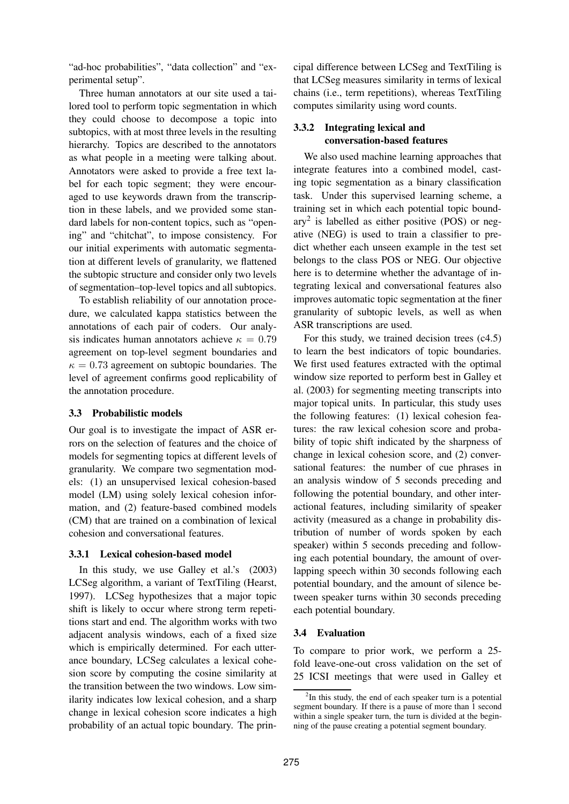"ad-hoc probabilities", "data collection" and "experimental setup".

Three human annotators at our site used a tailored tool to perform topic segmentation in which they could choose to decompose a topic into subtopics, with at most three levels in the resulting hierarchy. Topics are described to the annotators as what people in a meeting were talking about. Annotators were asked to provide a free text label for each topic segment; they were encouraged to use keywords drawn from the transcription in these labels, and we provided some standard labels for non-content topics, such as "opening" and "chitchat", to impose consistency. For our initial experiments with automatic segmentation at different levels of granularity, we flattened the subtopic structure and consider only two levels of segmentation–top-level topics and all subtopics.

To establish reliability of our annotation procedure, we calculated kappa statistics between the annotations of each pair of coders. Our analysis indicates human annotators achieve  $\kappa = 0.79$ agreement on top-level segment boundaries and  $\kappa = 0.73$  agreement on subtopic boundaries. The level of agreement confirms good replicability of the annotation procedure.

#### **3.3 Probabilistic models**

Our goal is to investigate the impact of ASR errors on the selection of features and the choice of models for segmenting topics at different levels of granularity. We compare two segmentation models: (1) an unsupervised lexical cohesion-based model (LM) using solely lexical cohesion information, and (2) feature-based combined models (CM) that are trained on a combination of lexical cohesion and conversational features.

## **3.3.1 Lexical cohesion-based model**

In this study, we use Galley et al.'s (2003) LCSeg algorithm, a variant of TextTiling (Hearst, 1997). LCSeg hypothesizes that a major topic shift is likely to occur where strong term repetitions start and end. The algorithm works with two adjacent analysis windows, each of a fixed size which is empirically determined. For each utterance boundary, LCSeg calculates a lexical cohesion score by computing the cosine similarity at the transition between the two windows. Low similarity indicates low lexical cohesion, and a sharp change in lexical cohesion score indicates a high probability of an actual topic boundary. The principal difference between LCSeg and TextTiling is that LCSeg measures similarity in terms of lexical chains (i.e., term repetitions), whereas TextTiling computes similarity using word counts.

# **3.3.2 Integrating lexical and conversation-based features**

We also used machine learning approaches that integrate features into a combined model, casting topic segmentation as a binary classification task. Under this supervised learning scheme, a training set in which each potential topic boundary<sup>2</sup> is labelled as either positive (POS) or negative (NEG) is used to train a classifier to predict whether each unseen example in the test set belongs to the class POS or NEG. Our objective here is to determine whether the advantage of integrating lexical and conversational features also improves automatic topic segmentation at the finer granularity of subtopic levels, as well as when ASR transcriptions are used.

For this study, we trained decision trees (c4.5) to learn the best indicators of topic boundaries. We first used features extracted with the optimal window size reported to perform best in Galley et al. (2003) for segmenting meeting transcripts into major topical units. In particular, this study uses the following features: (1) lexical cohesion features: the raw lexical cohesion score and probability of topic shift indicated by the sharpness of change in lexical cohesion score, and (2) conversational features: the number of cue phrases in an analysis window of 5 seconds preceding and following the potential boundary, and other interactional features, including similarity of speaker activity (measured as a change in probability distribution of number of words spoken by each speaker) within 5 seconds preceding and following each potential boundary, the amount of overlapping speech within 30 seconds following each potential boundary, and the amount of silence between speaker turns within 30 seconds preceding each potential boundary.

## **3.4 Evaluation**

To compare to prior work, we perform a 25 fold leave-one-out cross validation on the set of 25 ICSI meetings that were used in Galley et

 $2$ In this study, the end of each speaker turn is a potential segment boundary. If there is a pause of more than 1 second within a single speaker turn, the turn is divided at the beginning of the pause creating a potential segment boundary.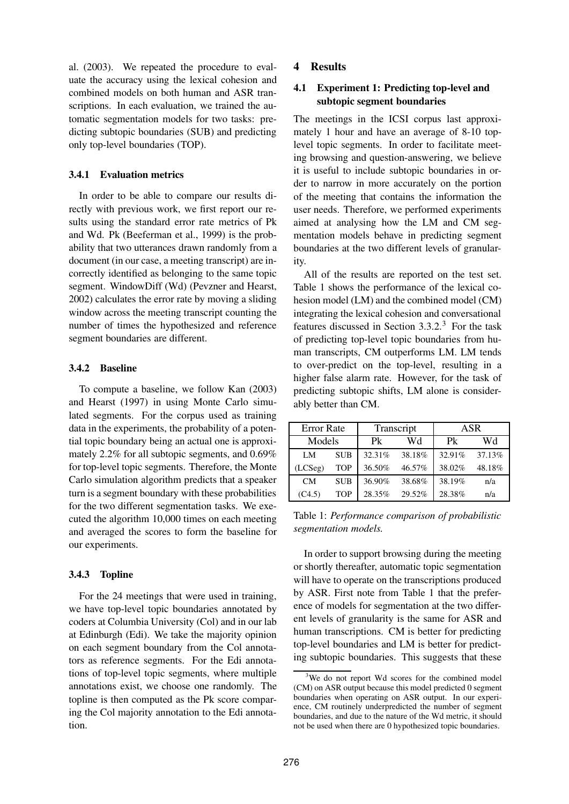al. (2003). We repeated the procedure to evaluate the accuracy using the lexical cohesion and combined models on both human and ASR transcriptions. In each evaluation, we trained the automatic segmentation models for two tasks: predicting subtopic boundaries (SUB) and predicting only top-level boundaries (TOP).

#### **3.4.1 Evaluation metrics**

In order to be able to compare our results directly with previous work, we first report our results using the standard error rate metrics of Pk and Wd. Pk (Beeferman et al., 1999) is the probability that two utterances drawn randomly from a document (in our case, a meeting transcript) are incorrectly identified as belonging to the same topic segment. WindowDiff (Wd) (Pevzner and Hearst, 2002) calculates the error rate by moving a sliding window across the meeting transcript counting the number of times the hypothesized and reference segment boundaries are different.

#### **3.4.2 Baseline**

To compute a baseline, we follow Kan (2003) and Hearst (1997) in using Monte Carlo simulated segments. For the corpus used as training data in the experiments, the probability of a potential topic boundary being an actual one is approximately 2.2% for all subtopic segments, and 0.69% for top-level topic segments. Therefore, the Monte Carlo simulation algorithm predicts that a speaker turn is a segment boundary with these probabilities for the two different segmentation tasks. We executed the algorithm 10,000 times on each meeting and averaged the scores to form the baseline for our experiments.

#### **3.4.3 Topline**

For the 24 meetings that were used in training, we have top-level topic boundaries annotated by coders at Columbia University (Col) and in our lab at Edinburgh (Edi). We take the majority opinion on each segment boundary from the Col annotators as reference segments. For the Edi annotations of top-level topic segments, where multiple annotations exist, we choose one randomly. The topline is then computed as the Pk score comparing the Col majority annotation to the Edi annotation.

## **4 Results**

## **4.1 Experiment 1: Predicting top-level and subtopic segment boundaries**

The meetings in the ICSI corpus last approximately 1 hour and have an average of 8-10 toplevel topic segments. In order to facilitate meeting browsing and question-answering, we believe it is useful to include subtopic boundaries in order to narrow in more accurately on the portion of the meeting that contains the information the user needs. Therefore, we performed experiments aimed at analysing how the LM and CM segmentation models behave in predicting segment boundaries at the two different levels of granularity.

All of the results are reported on the test set. Table 1 shows the performance of the lexical cohesion model (LM) and the combined model (CM) integrating the lexical cohesion and conversational features discussed in Section 3.3.2.<sup>3</sup> For the task of predicting top-level topic boundaries from human transcripts, CM outperforms LM. LM tends to over-predict on the top-level, resulting in a higher false alarm rate. However, for the task of predicting subtopic shifts, LM alone is considerably better than CM.

| <b>Error Rate</b> |            | Transcript |        | ASR     |        |
|-------------------|------------|------------|--------|---------|--------|
| Models            |            | Pk         | Wd     | $P_{k}$ | Wd     |
| LM                | <b>SUB</b> | 32.31%     | 38.18% | 32.91%  | 37.13% |
| (LCSeg)           | TOP        | 36.50%     | 46.57% | 38.02%  | 48.18% |
| <b>CM</b>         | <b>SUB</b> | 36.90%     | 38.68% | 38.19%  | n/a    |
| (C4.5)            | TOP        | 28.35%     | 29.52% | 28.38%  | n/a    |

Table 1: *Performance comparison of probabilistic segmentation models.*

In order to support browsing during the meeting or shortly thereafter, automatic topic segmentation will have to operate on the transcriptions produced by ASR. First note from Table 1 that the preference of models for segmentation at the two different levels of granularity is the same for ASR and human transcriptions. CM is better for predicting top-level boundaries and LM is better for predicting subtopic boundaries. This suggests that these

<sup>&</sup>lt;sup>3</sup>We do not report Wd scores for the combined model (CM) on ASR output because this model predicted 0 segment boundaries when operating on ASR output. In our experience, CM routinely underpredicted the number of segment boundaries, and due to the nature of the Wd metric, it should not be used when there are 0 hypothesized topic boundaries.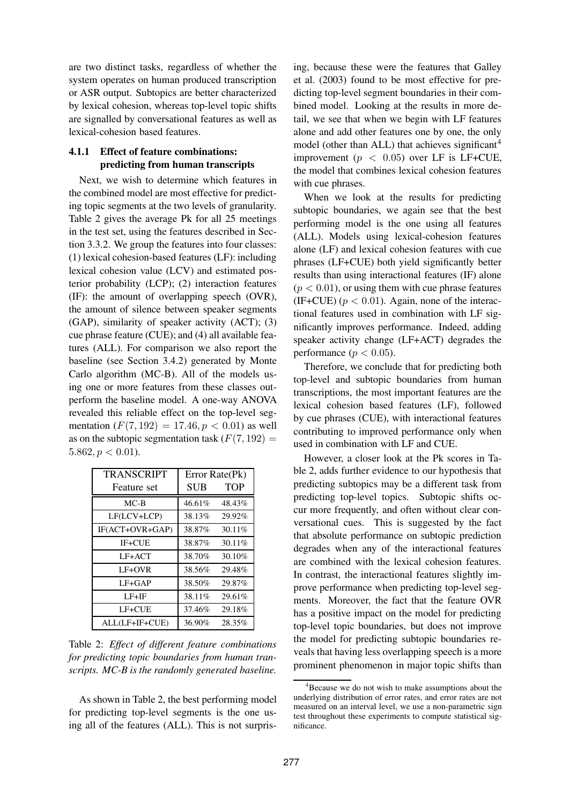are two distinct tasks, regardless of whether the system operates on human produced transcription or ASR output. Subtopics are better characterized by lexical cohesion, whereas top-level topic shifts are signalled by conversational features as well as lexical-cohesion based features.

## **4.1.1 Effect of feature combinations: predicting from human transcripts**

Next, we wish to determine which features in the combined model are most effective for predicting topic segments at the two levels of granularity. Table 2 gives the average Pk for all 25 meetings in the test set, using the features described in Section 3.3.2. We group the features into four classes: (1) lexical cohesion-based features (LF): including lexical cohesion value (LCV) and estimated posterior probability (LCP); (2) interaction features (IF): the amount of overlapping speech (OVR), the amount of silence between speaker segments (GAP), similarity of speaker activity (ACT); (3) cue phrase feature (CUE); and (4) all available features (ALL). For comparison we also report the baseline (see Section 3.4.2) generated by Monte Carlo algorithm (MC-B). All of the models using one or more features from these classes outperform the baseline model. A one-way ANOVA revealed this reliable effect on the top-level segmentation  $(F(7, 192) = 17.46, p < 0.01)$  as well as on the subtopic segmentation task  $(F(7, 192))$  =  $5.862, p < 0.01$ ).

| <b>TRANSCRIPT</b> | Error Rate(Pk) |            |  |
|-------------------|----------------|------------|--|
| Feature set       | SUB            | <b>TOP</b> |  |
| $MC-B$            | 46.61%         | 48.43%     |  |
| LF(LCV+LCP)       | 38.13%         | 29.92%     |  |
| IF(ACT+OVR+GAP)   | 38.87%         | 30.11%     |  |
| IF+CUE            | 38.87%         | 30.11%     |  |
| LF+ACT            | 38.70%         | 30.10%     |  |
| LF+OVR            | 38.56%         | 29.48%     |  |
| $LF+GAP$          | 38.50%         | 29.87%     |  |
| $LF+IF$           | 38.11%         | 29.61%     |  |
| LF+CUE            | 37.46%         | 29.18%     |  |
| ALL(LF+IF+CUE)    | 36.90%         | 28.35%     |  |

Table 2: *Effect of different feature combinations for predicting topic boundaries from human transcripts. MC-B is the randomly generated baseline.*

As shown in Table 2, the best performing model for predicting top-level segments is the one using all of the features (ALL). This is not surpris-

ing, because these were the features that Galley et al. (2003) found to be most effective for predicting top-level segment boundaries in their combined model. Looking at the results in more detail, we see that when we begin with LF features alone and add other features one by one, the only model (other than ALL) that achieves significant<sup>4</sup> improvement ( $p < 0.05$ ) over LF is LF+CUE, the model that combines lexical cohesion features with cue phrases.

When we look at the results for predicting subtopic boundaries, we again see that the best performing model is the one using all features (ALL). Models using lexical-cohesion features alone (LF) and lexical cohesion features with cue phrases (LF+CUE) both yield significantly better results than using interactional features (IF) alone  $(p < 0.01)$ , or using them with cue phrase features (IF+CUE) ( $p < 0.01$ ). Again, none of the interactional features used in combination with LF significantly improves performance. Indeed, adding speaker activity change (LF+ACT) degrades the performance ( $p < 0.05$ ).

Therefore, we conclude that for predicting both top-level and subtopic boundaries from human transcriptions, the most important features are the lexical cohesion based features (LF), followed by cue phrases (CUE), with interactional features contributing to improved performance only when used in combination with LF and CUE.

However, a closer look at the Pk scores in Table 2, adds further evidence to our hypothesis that predicting subtopics may be a different task from predicting top-level topics. Subtopic shifts occur more frequently, and often without clear conversational cues. This is suggested by the fact that absolute performance on subtopic prediction degrades when any of the interactional features are combined with the lexical cohesion features. In contrast, the interactional features slightly improve performance when predicting top-level segments. Moreover, the fact that the feature OVR has a positive impact on the model for predicting top-level topic boundaries, but does not improve the model for predicting subtopic boundaries reveals that having less overlapping speech is a more prominent phenomenon in major topic shifts than

<sup>&</sup>lt;sup>4</sup>Because we do not wish to make assumptions about the underlying distribution of error rates, and error rates are not measured on an interval level, we use a non-parametric sign test throughout these experiments to compute statistical significance.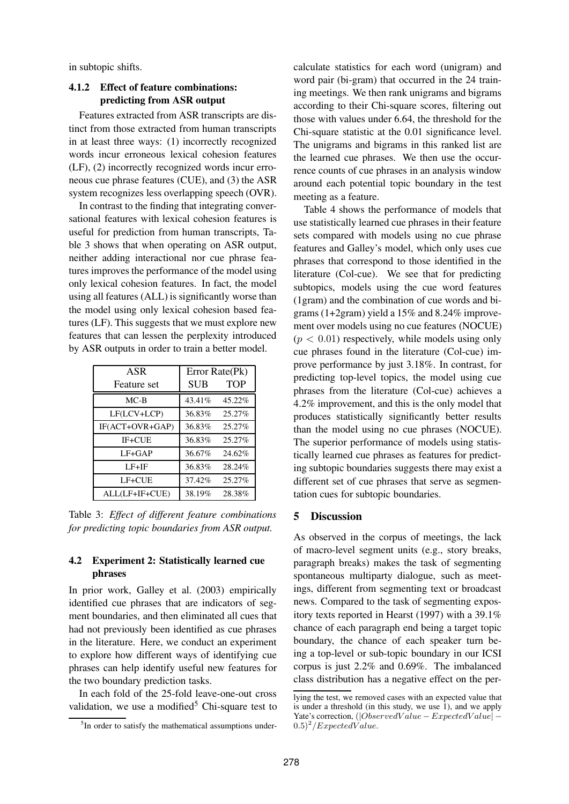in subtopic shifts.

### **4.1.2 Effect of feature combinations: predicting from ASR output**

Features extracted from ASR transcripts are distinct from those extracted from human transcripts in at least three ways: (1) incorrectly recognized words incur erroneous lexical cohesion features (LF), (2) incorrectly recognized words incur erroneous cue phrase features (CUE), and (3) the ASR system recognizes less overlapping speech (OVR).

In contrast to the finding that integrating conversational features with lexical cohesion features is useful for prediction from human transcripts, Table 3 shows that when operating on ASR output, neither adding interactional nor cue phrase features improves the performance of the model using only lexical cohesion features. In fact, the model using all features (ALL) is significantly worse than the model using only lexical cohesion based features (LF). This suggests that we must explore new features that can lessen the perplexity introduced by ASR outputs in order to train a better model.

| ASR             | Error Rate(Pk) |        |  |
|-----------------|----------------|--------|--|
| Feature set     | SUB            | TOP    |  |
| $MC-B$          | 43.41%         | 45.22% |  |
| LF(LCV+LCP)     | 36.83%         | 25.27% |  |
| IF(ACT+OVR+GAP) | 36.83%         | 25.27% |  |
| IF+CUE          | 36.83%         | 25.27% |  |
| $LF+GAP$        | 36.67%         | 24.62% |  |
| $LF+IF$         | 36.83%         | 28.24% |  |
| LF+CUE          | 37.42%         | 25.27% |  |
| ALL(LF+IF+CUE)  | 38.19%         | 28.38% |  |

Table 3: *Effect of different feature combinations for predicting topic boundaries from ASR output.*

## **4.2 Experiment 2: Statistically learned cue phrases**

In prior work, Galley et al. (2003) empirically identified cue phrases that are indicators of segment boundaries, and then eliminated all cues that had not previously been identified as cue phrases in the literature. Here, we conduct an experiment to explore how different ways of identifying cue phrases can help identify useful new features for the two boundary prediction tasks.

In each fold of the 25-fold leave-one-out cross validation, we use a modified<sup>5</sup> Chi-square test to calculate statistics for each word (unigram) and word pair (bi-gram) that occurred in the 24 training meetings. We then rank unigrams and bigrams according to their Chi-square scores, filtering out those with values under 6.64, the threshold for the Chi-square statistic at the 0.01 significance level. The unigrams and bigrams in this ranked list are the learned cue phrases. We then use the occurrence counts of cue phrases in an analysis window around each potential topic boundary in the test meeting as a feature.

Table 4 shows the performance of models that use statistically learned cue phrases in their feature sets compared with models using no cue phrase features and Galley's model, which only uses cue phrases that correspond to those identified in the literature (Col-cue). We see that for predicting subtopics, models using the cue word features (1gram) and the combination of cue words and bigrams (1+2gram) yield a 15% and 8.24% improvement over models using no cue features (NOCUE)  $(p < 0.01)$  respectively, while models using only cue phrases found in the literature (Col-cue) improve performance by just 3.18%. In contrast, for predicting top-level topics, the model using cue phrases from the literature (Col-cue) achieves a 4.2% improvement, and this is the only model that produces statistically significantly better results than the model using no cue phrases (NOCUE). The superior performance of models using statistically learned cue phrases as features for predicting subtopic boundaries suggests there may exist a different set of cue phrases that serve as segmentation cues for subtopic boundaries.

#### **5 Discussion**

As observed in the corpus of meetings, the lack of macro-level segment units (e.g., story breaks, paragraph breaks) makes the task of segmenting spontaneous multiparty dialogue, such as meetings, different from segmenting text or broadcast news. Compared to the task of segmenting expository texts reported in Hearst (1997) with a 39.1% chance of each paragraph end being a target topic boundary, the chance of each speaker turn being a top-level or sub-topic boundary in our ICSI corpus is just 2.2% and 0.69%. The imbalanced class distribution has a negative effect on the per-

<sup>&</sup>lt;sup>5</sup>In order to satisfy the mathematical assumptions under-

lying the test, we removed cases with an expected value that is under a threshold (in this study, we use  $\overline{1}$ ), and we apply Yate's correction, (|ObservedV alue − ExpectedV alue| −  $(0.5)^2$ /*ExpectedValue.*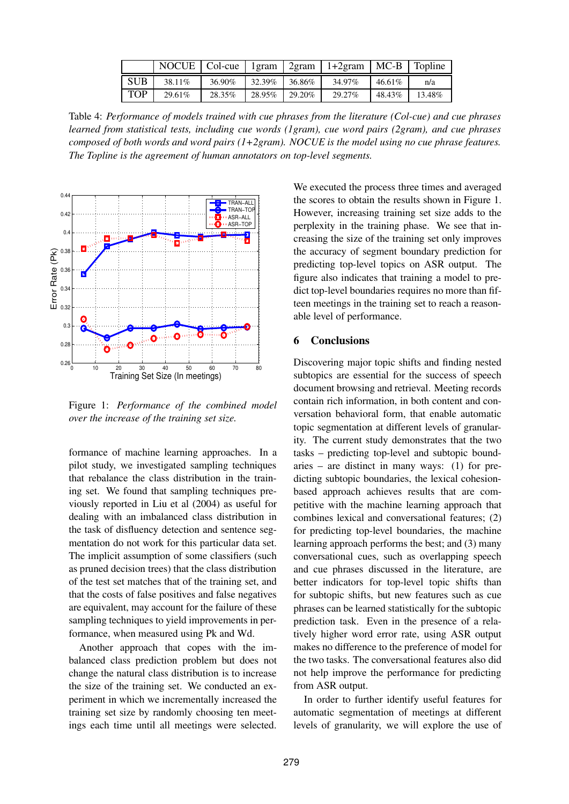|            |         |        |                    |            | NOCUE   Col-cue   1gram   2gram   1+2gram   MC-B   Topline |            |        |
|------------|---------|--------|--------------------|------------|------------------------------------------------------------|------------|--------|
| <b>SUB</b> | 38.11\% | 36.90% | $132.39\%$ 36.86\% |            | 34.97%                                                     | $146.61\%$ | n/a    |
| <b>TOP</b> | 29.61%  | 28.35% | $128.95\%$         | $129.20\%$ | 29.27%                                                     | 48.43%     | 13.48% |

Table 4: *Performance of models trained with cue phrases from the literature (Col-cue) and cue phrases learned from statistical tests, including cue words (1gram), cue word pairs (2gram), and cue phrases composed of both words and word pairs (1+2gram). NOCUE is the model using no cue phrase features. The Topline is the agreement of human annotators on top-level segments.*



Figure 1: *Performance of the combined model over the increase of the training set size.*

formance of machine learning approaches. In a pilot study, we investigated sampling techniques that rebalance the class distribution in the training set. We found that sampling techniques previously reported in Liu et al (2004) as useful for dealing with an imbalanced class distribution in the task of disfluency detection and sentence segmentation do not work for this particular data set. The implicit assumption of some classifiers (such as pruned decision trees) that the class distribution of the test set matches that of the training set, and that the costs of false positives and false negatives are equivalent, may account for the failure of these sampling techniques to yield improvements in performance, when measured using Pk and Wd.

Another approach that copes with the imbalanced class prediction problem but does not change the natural class distribution is to increase the size of the training set. We conducted an experiment in which we incrementally increased the training set size by randomly choosing ten meetings each time until all meetings were selected.

We executed the process three times and averaged the scores to obtain the results shown in Figure 1. However, increasing training set size adds to the perplexity in the training phase. We see that increasing the size of the training set only improves the accuracy of segment boundary prediction for predicting top-level topics on ASR output. The figure also indicates that training a model to predict top-level boundaries requires no more than fifteen meetings in the training set to reach a reasonable level of performance.

## **6 Conclusions**

Discovering major topic shifts and finding nested subtopics are essential for the success of speech document browsing and retrieval. Meeting records contain rich information, in both content and conversation behavioral form, that enable automatic topic segmentation at different levels of granularity. The current study demonstrates that the two tasks – predicting top-level and subtopic boundaries – are distinct in many ways: (1) for predicting subtopic boundaries, the lexical cohesionbased approach achieves results that are competitive with the machine learning approach that combines lexical and conversational features; (2) for predicting top-level boundaries, the machine learning approach performs the best; and (3) many conversational cues, such as overlapping speech and cue phrases discussed in the literature, are better indicators for top-level topic shifts than for subtopic shifts, but new features such as cue phrases can be learned statistically for the subtopic prediction task. Even in the presence of a relatively higher word error rate, using ASR output makes no difference to the preference of model for the two tasks. The conversational features also did not help improve the performance for predicting from ASR output.

In order to further identify useful features for automatic segmentation of meetings at different levels of granularity, we will explore the use of